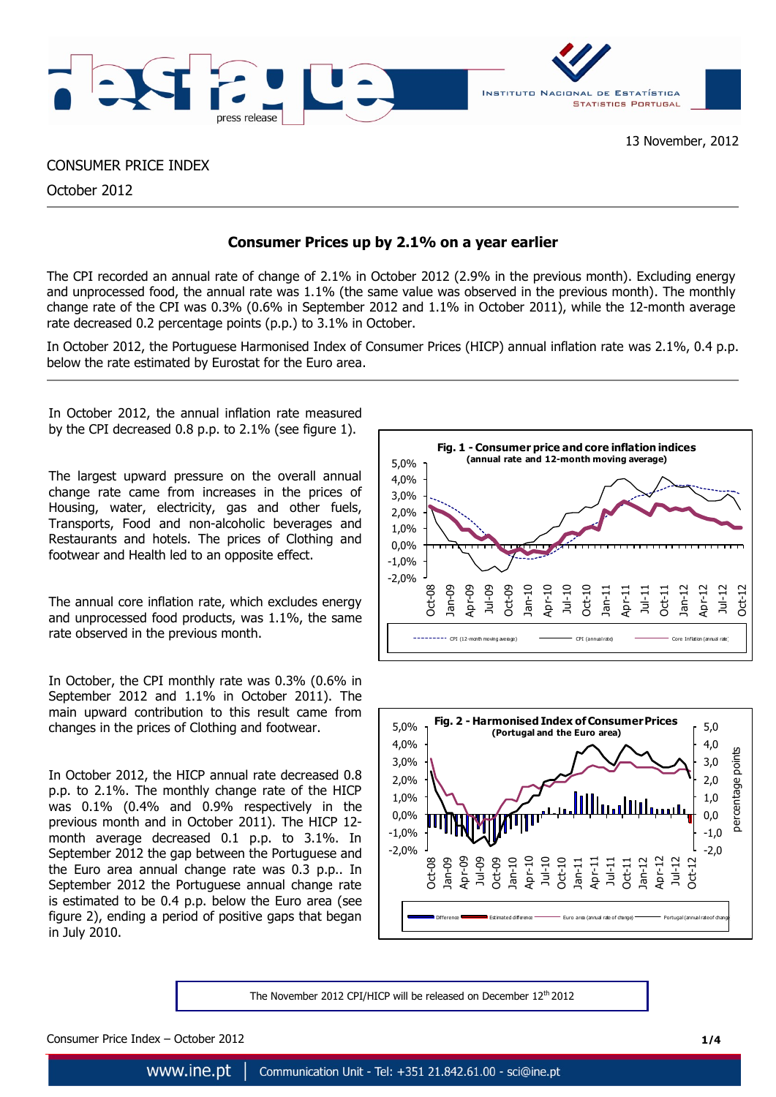

# CONSUMER PRICE INDEX

October 2012

# **Consumer Prices up by 2.1% on a year earlier**

The CPI recorded an annual rate of change of 2.1% in October 2012 (2.9% in the previous month). Excluding energy and unprocessed food, the annual rate was 1.1% (the same value was observed in the previous month). The monthly change rate of the CPI was 0.3% (0.6% in September 2012 and 1.1% in October 2011), while the 12-month average rate decreased 0.2 percentage points (p.p.) to 3.1% in October.

In October 2012, the Portuguese Harmonised Index of Consumer Prices (HICP) annual inflation rate was 2.1%, 0.4 p.p. below the rate estimated by Eurostat for the Euro area.

In October 2012, the annual inflation rate measured by the CPI decreased 0.8 p.p. to 2.1% (see figure 1).

The largest upward pressure on the overall annual change rate came from increases in the prices of Housing, water, electricity, gas and other fuels, Transports, Food and non-alcoholic beverages and Restaurants and hotels. The prices of Clothing and footwear and Health led to an opposite effect.

The annual core inflation rate, which excludes energy and unprocessed food products, was 1.1%, the same rate observed in the previous month.

In October, the CPI monthly rate was 0.3% (0.6% in September 2012 and 1.1% in October 2011). The main upward contribution to this result came from changes in the prices of Clothing and footwear.

In October 2012, the HICP annual rate decreased 0.8 p.p. to 2.1%. The monthly change rate of the HICP was 0.1% (0.4% and 0.9% respectively in the previous month and in October 2011). The HICP 12 month average decreased 0.1 p.p. to 3.1%. In September 2012 the gap between the Portuguese and the Euro area annual change rate was 0.3 p.p.. In September 2012 the Portuguese annual change rate is estimated to be 0.4 p.p. below the Euro area (see figure 2), ending a period of positive gaps that began in July 2010.





The November 2012 CPI/HICP will be released on December 12<sup>th</sup> 2012

Consumer Price Index – October 2012 **1/4**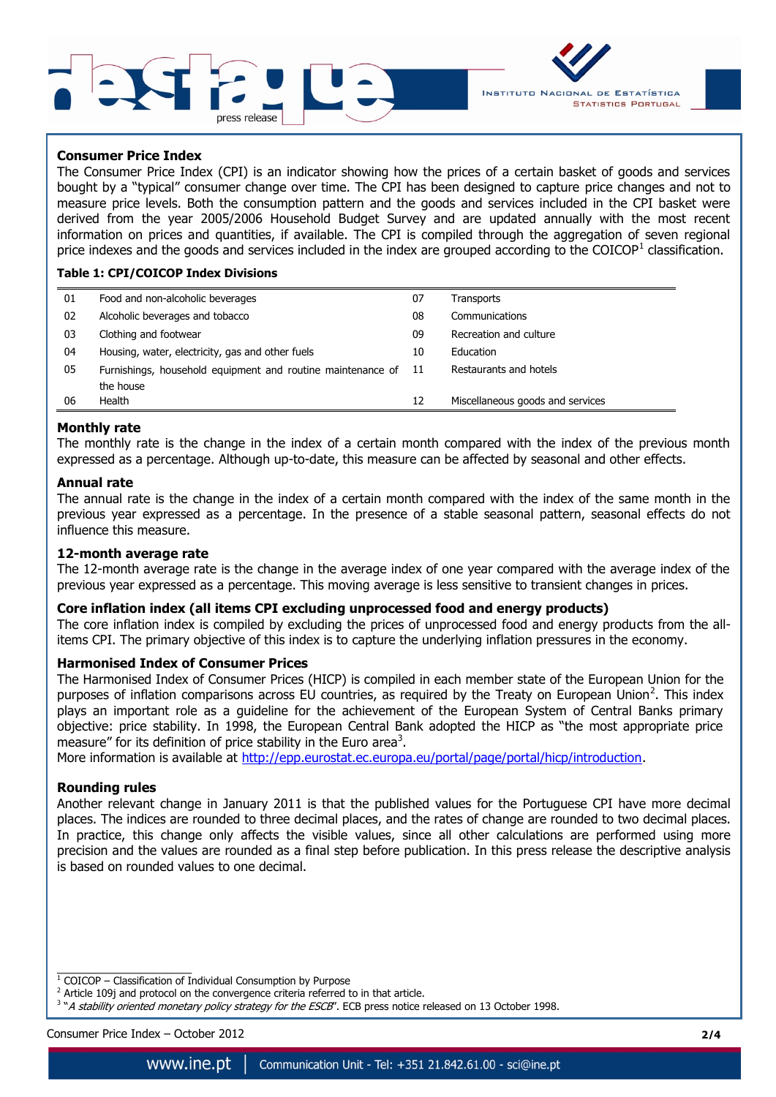



## **Consumer Price Index**

The Consumer Price Index (CPI) is an indicator showing how the prices of a certain basket of goods and services bought by a "typical" consumer change over time. The CPI has been designed to capture price changes and not to measure price levels. Both the consumption pattern and the goods and services included in the CPI basket were derived from the year 2005/2006 Household Budget Survey and are updated annually with the most recent information on prices and quantities, if available. The CPI is compiled through the aggregation of seven regional price indexes and the goods and services included in the index are grouped according to the COICOP<sup>1</sup> classification.

## **Table 1: CPI/COICOP Index Divisions**

| 01 | Food and non-alcoholic beverages                               | 07 | Transports                       |
|----|----------------------------------------------------------------|----|----------------------------------|
| 02 | Alcoholic beverages and tobacco                                | 08 | Communications                   |
| 03 | Clothing and footwear                                          | 09 | Recreation and culture           |
| 04 | Housing, water, electricity, gas and other fuels               | 10 | Education                        |
| 05 | Furnishings, household equipment and routine maintenance of 11 |    | Restaurants and hotels           |
|    | the house                                                      |    |                                  |
| 06 | Health                                                         | 12 | Miscellaneous goods and services |

#### **Monthly rate**

The monthly rate is the change in the index of a certain month compared with the index of the previous month expressed as a percentage. Although up-to-date, this measure can be affected by seasonal and other effects.

#### **Annual rate**

The annual rate is the change in the index of a certain month compared with the index of the same month in the previous year expressed as a percentage. In the presence of a stable seasonal pattern, seasonal effects do not influence this measure.

#### **12-month average rate**

The 12-month average rate is the change in the average index of one year compared with the average index of the previous year expressed as a percentage. This moving average is less sensitive to transient changes in prices.

# **Core inflation index (all items CPI excluding unprocessed food and energy products)**

The core inflation index is compiled by excluding the prices of unprocessed food and energy products from the allitems CPI. The primary objective of this index is to capture the underlying inflation pressures in the economy.

## **Harmonised Index of Consumer Prices**

The Harmonised Index of Consumer Prices (HICP) is compiled in each member state of the European Union for the purposes of inflation comparisons across EU countries, as required by the Treaty on European Union<sup>2</sup>. This index plays an important role as a guideline for the achievement of the European System of Central Banks primary objective: price stability. In 1998, the European Central Bank adopted the HICP as "the most appropriate price measure" for its definition of price stability in the Euro area<sup>3</sup>.

More information is available at [http://epp.eurostat.ec.europa.eu/portal/page/portal/hicp/introduction.](http://epp.eurostat.ec.europa.eu/portal/page/portal/hicp/introduction)

#### **Rounding rules**

Another relevant change in January 2011 is that the published values for the Portuguese CPI have more decimal places. The indices are rounded to three decimal places, and the rates of change are rounded to two decimal places. In practice, this change only affects the visible values, since all other calculations are performed using more precision and the values are rounded as a final step before publication. In this press release the descriptive analysis is based on rounded values to one decimal.

Consumer Price Index – October 2012 **2/4**

 $\overline{\phantom{a}}$  , where  $\overline{\phantom{a}}$  , where  $\overline{\phantom{a}}$  , where  $\overline{\phantom{a}}$  ,  $\overline{\phantom{a}}$  ,  $\overline{\phantom{a}}$  ,  $\overline{\phantom{a}}$  ,  $\overline{\phantom{a}}$  ,  $\overline{\phantom{a}}$  ,  $\overline{\phantom{a}}$  ,  $\overline{\phantom{a}}$  ,  $\overline{\phantom{a}}$  ,  $\overline{\phantom{a}}$  ,  $\overline{\phantom{a}}$  ,  $\overline{\phantom$ 

 $1$  COICOP – Classification of Individual Consumption by Purpose

<sup>&</sup>lt;sup>2</sup> Article 109j and protocol on the convergence criteria referred to in that article.

<sup>&</sup>lt;sup>3</sup> "A stability oriented monetary policy strategy for the ESCB". ECB press notice released on 13 October 1998.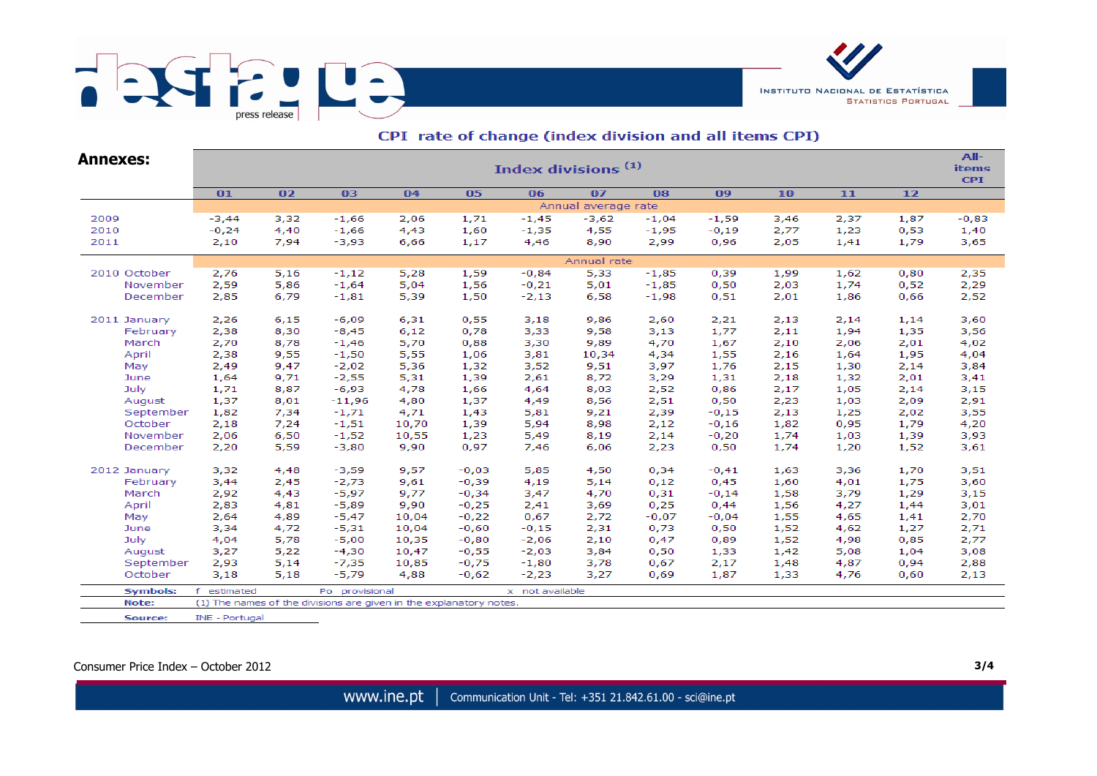



| Annexes:        | Index divisions <sup>(1)</sup>                                     |      |                |       |         |                 |         |         |         |      |      |      |         |  |  |
|-----------------|--------------------------------------------------------------------|------|----------------|-------|---------|-----------------|---------|---------|---------|------|------|------|---------|--|--|
|                 | 01                                                                 | 02   | 03             | 04    | 05      | 06              | 07      | 08      | 09      | 10   | $11$ | $12$ |         |  |  |
|                 | Annual average rate                                                |      |                |       |         |                 |         |         |         |      |      |      |         |  |  |
| 2009            | $-3,44$                                                            | 3,32 | $-1,66$        | 2,06  | 1,71    | $-1,45$         | $-3,62$ | $-1,04$ | $-1,59$ | 3,46 | 2,37 | 1,87 | $-0,83$ |  |  |
| 2010            | $-0,24$                                                            | 4,40 | $-1,66$        | 4,43  | 1,60    | $-1,35$         | 4,55    | $-1,95$ | $-0,19$ | 2,77 | 1,23 | 0,53 | 1,40    |  |  |
| 2011            | 2,10                                                               | 7,94 | $-3,93$        | 6,66  | 1,17    | 4,46            | 8,90    | 2,99    | 0,96    | 2,05 | 1,41 | 1,79 | 3,65    |  |  |
|                 | Annual rate                                                        |      |                |       |         |                 |         |         |         |      |      |      |         |  |  |
| 2010 October    | 2,76                                                               | 5,16 | $-1,12$        | 5,28  | 1,59    | $-0,84$         | 5,33    | $-1,85$ | 0,39    | 1,99 | 1,62 | 0,80 | 2,35    |  |  |
| November        | 2,59                                                               | 5,86 | $-1,64$        | 5,04  | 1,56    | $-0,21$         | 5,01    | $-1,85$ | 0,50    | 2,03 | 1,74 | 0,52 | 2,29    |  |  |
| December        | 2,85                                                               | 6,79 | $-1,81$        | 5,39  | 1,50    | $-2,13$         | 6,58    | $-1,98$ | 0,51    | 2,01 | 1,86 | 0,66 | 2,52    |  |  |
| 2011 January    | 2,26                                                               | 6,15 | $-6,09$        | 6,31  | 0,55    | 3,18            | 9,86    | 2,60    | 2,21    | 2,13 | 2,14 | 1,14 | 3,60    |  |  |
| February        | 2,38                                                               | 8,30 | $-8,45$        | 6,12  | 0,78    | 3,33            | 9,58    | 3,13    | 1,77    | 2,11 | 1,94 | 1,35 | 3,56    |  |  |
| March           | 2,70                                                               | 8,78 | $-1,46$        | 5,70  | 0,88    | 3,30            | 9,89    | 4,70    | 1,67    | 2,10 | 2,06 | 2,01 | 4,02    |  |  |
| April           | 2,38                                                               | 9,55 | $-1,50$        | 5,55  | 1,06    | 3,81            | 10,34   | 4,34    | 1,55    | 2,16 | 1,64 | 1,95 | 4,04    |  |  |
| May             | 2,49                                                               | 9,47 | $-2,02$        | 5,36  | 1,32    | 3,52            | 9,51    | 3,97    | 1,76    | 2,15 | 1,30 | 2,14 | 3,84    |  |  |
| June            | 1,64                                                               | 9,71 | $-2,55$        | 5,31  | 1,39    | 2,61            | 8,72    | 3,29    | 1,31    | 2,18 | 1,32 | 2,01 | 3,41    |  |  |
| July            | 1,71                                                               | 8,87 | $-6,93$        | 4,78  | 1,66    | 4,64            | 8,03    | 2,52    | 0,86    | 2,17 | 1,05 | 2,14 | 3,15    |  |  |
| August          | 1,37                                                               | 8,01 | $-11,96$       | 4,80  | 1,37    | 4,49            | 8,56    | 2,51    | 0,50    | 2,23 | 1,03 | 2,09 | 2,91    |  |  |
| September       | 1,82                                                               | 7,34 | $-1,71$        | 4,71  | 1,43    | 5,81            | 9,21    | 2,39    | $-0,15$ | 2,13 | 1,25 | 2,02 | 3,55    |  |  |
| October         | 2,18                                                               | 7,24 | $-1,51$        | 10,70 | 1,39    | 5,94            | 8,98    | 2,12    | $-0,16$ | 1,82 | 0,95 | 1,79 | 4,20    |  |  |
| November        | 2,06                                                               | 6,50 | $-1,52$        | 10,55 | 1,23    | 5,49            | 8,19    | 2,14    | $-0,20$ | 1,74 | 1,03 | 1,39 | 3,93    |  |  |
| December        | 2,20                                                               | 5,59 | $-3,80$        | 9,90  | 0,97    | 7,46            | 6,06    | 2,23    | 0,50    | 1,74 | 1,20 | 1,52 | 3,61    |  |  |
| 2012 January    | 3,32                                                               | 4,48 | $-3,59$        | 9,57  | $-0,03$ | 5,85            | 4,50    | 0,34    | $-0,41$ | 1,63 | 3,36 | 1,70 | 3,51    |  |  |
| February        | 3,44                                                               | 2,45 | $-2,73$        | 9,61  | $-0,39$ | 4,19            | 5,14    | 0,12    | 0,45    | 1,60 | 4,01 | 1,75 | 3,60    |  |  |
| March           | 2,92                                                               | 4,43 | $-5,97$        | 9,77  | $-0,34$ | 3,47            | 4,70    | 0,31    | $-0,14$ | 1,58 | 3,79 | 1,29 | 3,15    |  |  |
| April           | 2,83                                                               | 4,81 | $-5,89$        | 9,90  | $-0,25$ | 2,41            | 3,69    | 0,25    | 0,44    | 1,56 | 4,27 | 1,44 | 3,01    |  |  |
| May             | 2,64                                                               | 4,89 | $-5,47$        | 10,04 | $-0,22$ | 0,67            | 2,72    | $-0,07$ | $-0,04$ | 1,55 | 4,65 | 1,41 | 2,70    |  |  |
| June            | 3,34                                                               | 4,72 | $-5,31$        | 10,04 | $-0,60$ | $-0,15$         | 2,31    | 0,73    | 0,50    | 1,52 | 4,62 | 1,27 | 2,71    |  |  |
| July            | 4,04                                                               | 5,78 | $-5,00$        | 10,35 | $-0,80$ | $-2,06$         | 2,10    | 0,47    | 0,89    | 1,52 | 4,98 | 0,85 | 2,77    |  |  |
| August          | 3,27                                                               | 5,22 | $-4,30$        | 10,47 | $-0,55$ | $-2,03$         | 3,84    | 0,50    | 1,33    | 1,42 | 5,08 | 1,04 | 3,08    |  |  |
| September       | 2,93                                                               | 5,14 | $-7,35$        | 10,85 | $-0,75$ | $-1,80$         | 3,78    | 0,67    | 2,17    | 1,48 | 4,87 | 0,94 | 2,88    |  |  |
| October         | 3,18                                                               | 5,18 | $-5,79$        | 4,88  | $-0,62$ | $-2,23$         | 3,27    | 0,69    | 1,87    | 1,33 | 4,76 | 0,60 | 2,13    |  |  |
| <b>Symbols:</b> | estimated                                                          |      | Po provisional |       |         | x not available |         |         |         |      |      |      |         |  |  |
| Note:           | (1) The names of the divisions are given in the explanatory notes. |      |                |       |         |                 |         |         |         |      |      |      |         |  |  |

#### CPI rate of change (index division and all items CPI)

Source: INE - Portugal